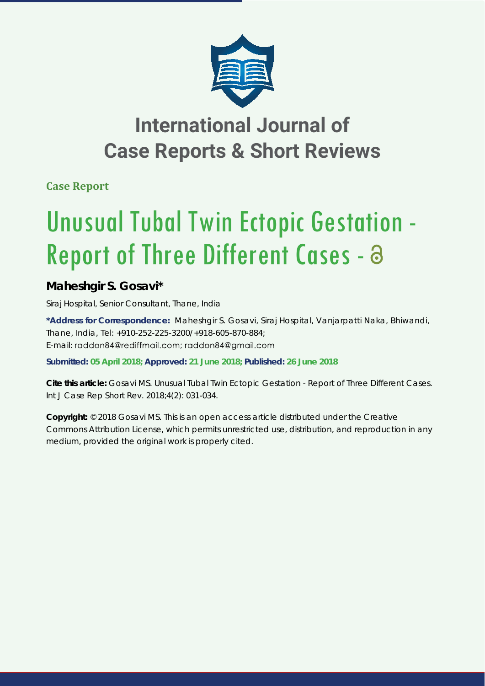

## **International Journal of Case Reports & Short Reviews**

**Case Report**

# Unusual Tubal Twin Ectopic Gestation - Report of Three Different Cases - a

### **Maheshgir S. Gosavi\***

*Siraj Hospital, Senior Consultant, Thane, India*

**\*Address for Correspondence:** Maheshgir S. Gosavi, Siraj Hospital, Vanjarpatti Naka, Bhiwandi, Thane, India, Tel: +910-252-225-3200/+918-605-870-884; E-mail: raddon84@rediffmail.com; raddon84@gmail.com

**Submitted: 05 April 2018; Approved: 21 June 2018; Published: 26 June 2018**

**Cite this article:** Gosavi MS. Unusual Tubal Twin Ectopic Gestation - Report of Three Different Cases. Int J Case Rep Short Rev. 2018;4(2): 031-034.

**Copyright:** © 2018 Gosavi MS. This is an open access article distributed under the Creative Commons Attribution License, which permits unrestricted use, distribution, and reproduction in any medium, provided the original work is properly cited.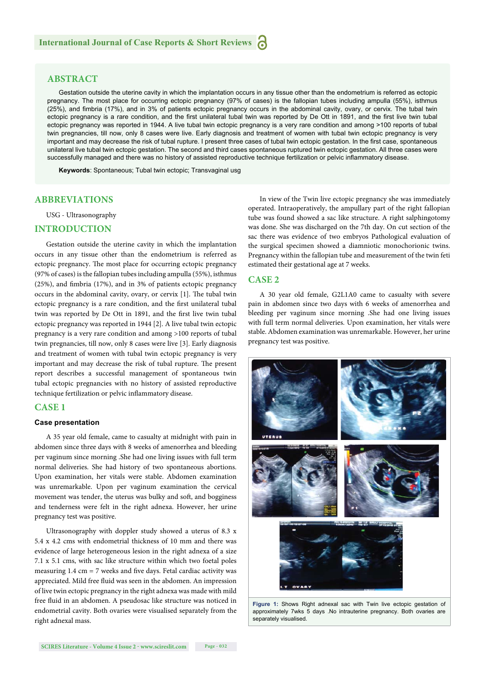#### **ABSTRACT**

Gestation outside the uterine cavity in which the implantation occurs in any tissue other than the endometrium is referred as ectopic pregnancy. The most place for occurring ectopic pregnancy (97% of cases) is the fallopian tubes including ampulla (55%), isthmus (25%), and fimbria (17%), and in 3% of patients ectopic pregnancy occurs in the abdominal cavity, ovary, or cervix. The tubal twin ectopic pregnancy is a rare condition, and the first unilateral tubal twin was reported by De Ott in 1891, and the first live twin tubal ectopic pregnancy was reported in 1944. A live tubal twin ectopic pregnancy is a very rare condition and among >100 reports of tubal twin pregnancies, till now, only 8 cases were live. Early diagnosis and treatment of women with tubal twin ectopic pregnancy is very important and may decrease the risk of tubal rupture. I present three cases of tubal twin ectopic gestation. In the first case, spontaneous unilateral live tubal twin ectopic gestation. The second and third cases spontaneous ruptured twin ectopic gestation. All three cases were successfully managed and there was no history of assisted reproductive technique fertilization or pelvic inflammatory disease.

**Keywords**: Spontaneous; Tubal twin ectopic; Transvaginal usg

#### **ABBREVIATIONS**

USG - Ultrasonography

#### **INTRODUCTION**

Gestation outside the uterine cavity in which the implantation occurs in any tissue other than the endometrium is referred as ectopic pregnancy. The most place for occurring ectopic pregnancy (97% of cases) is the fallopian tubes including ampulla (55%), isthmus (25%), and fimbria (17%), and in 3% of patients ectopic pregnancy occurs in the abdominal cavity, ovary, or cervix [1]. The tubal twin ectopic pregnancy is a rare condition, and the first unilateral tubal twin was reported by De Ott in 1891, and the first live twin tubal ectopic pregnancy was reported in 1944 [2]. A live tubal twin ectopic pregnancy is a very rare condition and among >100 reports of tubal twin pregnancies, till now, only 8 cases were live [3]. Early diagnosis and treatment of women with tubal twin ectopic pregnancy is very important and may decrease the risk of tubal rupture. The present report describes a successful management of spontaneous twin tubal ectopic pregnancies with no history of assisted reproductive technique fertilization or pelvic inflammatory disease.

#### **CASE 1**

#### **Case presentation**

A 35 year old female, came to casualty at midnight with pain in abdomen since three days with 8 weeks of amenorrhea and bleeding per vaginum since morning .She had one living issues with full term normal deliveries. She had history of two spontaneous abortions. Upon examination, her vitals were stable. Abdomen examination was unremarkable. Upon per vaginum examination the cervical movement was tender, the uterus was bulky and soft, and bogginess and tenderness were felt in the right adnexa. However, her urine pregnancy test was positive.

Ultrasonography with doppler study showed a uterus of 8.3 x 5.4 x 4.2 cms with endometrial thickness of 10 mm and there was evidence of large heterogeneous lesion in the right adnexa of a size 7.1 x 5.1 cms, with sac like structure within which two foetal poles measuring  $1.4 \text{ cm} = 7$  weeks and five days. Fetal cardiac activity was appreciated. Mild free fluid was seen in the abdomen. An impression of live twin ectopic pregnancy in the right adnexa was made with mild free fluid in an abdomen. A pseudosac like structure was noticed in endometrial cavity. Both ovaries were visualised separately from the right adnexal mass.

In view of the Twin live ectopic pregnancy she was immediately operated. Intraoperatively, the ampullary part of the right fallopian tube was found showed a sac like structure. A right salphingotomy was done. She was discharged on the 7th day. On cut section of the sac there was evidence of two embryos Pathological evaluation of the surgical specimen showed a diamniotic monochorionic twins. Pregnancy within the fallopian tube and measurement of the twin feti estimated their gestational age at 7 weeks.

#### **CASE 2**

A 30 year old female, G2L1A0 came to casualty with severe pain in abdomen since two days with 6 weeks of amenorrhea and bleeding per vaginum since morning .She had one living issues with full term normal deliveries. Upon examination, her vitals were stable. Abdomen examination was unremarkable. However, her urine pregnancy test was positive.



Figure 1: Shows Right adnexal sac with Twin live ectopic gestation of approximately 7wks 5 days .No intrauterine pregnancy. Both ovaries are separately visualised.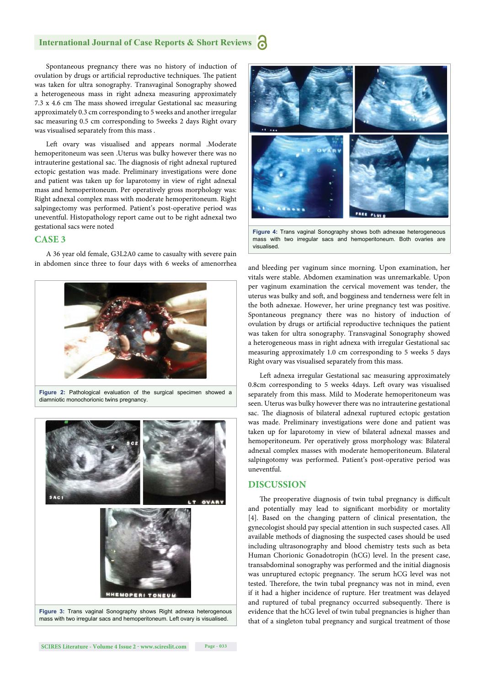#### **International Journal of Case Reports & Short Reviews**

Spontaneous pregnancy there was no history of induction of ovulation by drugs or artificial reproductive techniques. The patient was taken for ultra sonography. Transvaginal Sonography showed a heterogeneous mass in right adnexa measuring approximately 7.3 x 4.6 cm The mass showed irregular Gestational sac measuring approximately 0.3 cm corresponding to 5 weeks and another irregular sac measuring 0.5 cm corresponding to 5weeks 2 days Right ovary was visualised separately from this mass .

Left ovary was visualised and appears normal .Moderate hemoperitoneum was seen .Uterus was bulky however there was no intrauterine gestational sac. The diagnosis of right adnexal ruptured ectopic gestation was made. Preliminary investigations were done and patient was taken up for laparotomy in view of right adnexal mass and hemoperitoneum. Per operatively gross morphology was: Right adnexal complex mass with moderate hemoperitoneum. Right salpingectomy was performed. Patient's post-operative period was uneventful. Histopathology report came out to be right adnexal two gestational sacs were noted

#### **CASE 3**

A 36 year old female, G3L2A0 came to casualty with severe pain in abdomen since three to four days with 6 weeks of amenorrhea and bleeding per vaginum since morning. Upon examination, her



diamniotic monochorionic twins pregnancy.





**Figure 4:** Trans vaginal Sonography shows both adnexae heterogeneous mass with two irregular sacs and hemoperitoneum. Both ovaries are visualised.

vitals were stable. Abdomen examination was unremarkable. Upon per vaginum examination the cervical movement was tender, the uterus was bulky and soft, and bogginess and tenderness were felt in the both adnexae. However, her urine pregnancy test was positive. Spontaneous pregnancy there was no history of induction of ovulation by drugs or artificial reproductive techniques the patient was taken for ultra sonography. Transvaginal Sonography showed a heterogeneous mass in right adnexa with irregular Gestational sac measuring approximately 1.0 cm corresponding to 5 weeks 5 days Right ovary was visualised separately from this mass.

Left adnexa irregular Gestational sac measuring approximately 0.8cm corresponding to 5 weeks 4days. Left ovary was visualised separately from this mass. Mild to Moderate hemoperitoneum was seen. Uterus was bulky however there was no intrauterine gestational sac. The diagnosis of bilateral adnexal ruptured ectopic gestation was made. Preliminary investigations were done and patient was taken up for laparotomy in view of bilateral adnexal masses and hemoperitoneum. Per operatively gross morphology was: Bilateral adnexal complex masses with moderate hemoperitoneum. Bilateral salpingotomy was performed. Patient's post-operative period was uneventful.

#### **DISCUSSION**

The preoperative diagnosis of twin tubal pregnancy is difficult and potentially may lead to significant morbidity or mortality [4]. Based on the changing pattern of clinical presentation, the gynecologist should pay special attention in such suspected cases. All available methods of diagnosing the suspected cases should be used including ultrasonography and blood chemistry tests such as beta Human Chorionic Gonadotropin (hCG) level. In the present case, transabdominal sonography was performed and the initial diagnosis was unruptured ectopic pregnancy. The serum hCG level was not tested. Therefore, the twin tubal pregnancy was not in mind, even if it had a higher incidence of rupture. Her treatment was delayed and ruptured of tubal pregnancy occurred subsequently. There is evidence that the hCG level of twin tubal pregnancies is higher than that of a singleton tubal pregnancy and surgical treatment of those